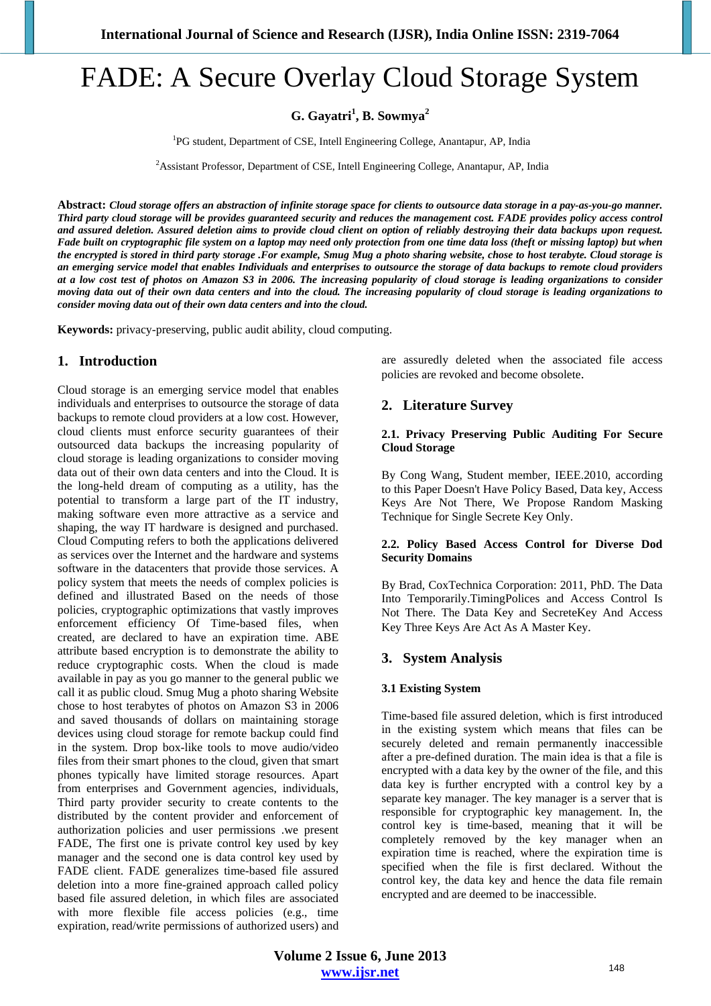# FADE: A Secure Overlay Cloud Storage System

**G. Gayatri<sup>1</sup> , B. Sowmya<sup>2</sup>**

<sup>1</sup>PG student, Department of CSE, Intell Engineering College, Anantapur, AP, India

<sup>2</sup> Assistant Professor, Department of CSE, Intell Engineering College, Anantapur, AP, India

**Abstract:** *Cloud storage offers an abstraction of infinite storage space for clients to outsource data storage in a pay-as-you-go manner. Third party cloud storage will be provides guaranteed security and reduces the management cost. FADE provides policy access control and assured deletion. Assured deletion aims to provide cloud client on option of reliably destroying their data backups upon request. Fade built on cryptographic file system on a laptop may need only protection from one time data loss (theft or missing laptop) but when the encrypted is stored in third party storage .For example, Smug Mug a photo sharing website, chose to host terabyte. Cloud storage is an emerging service model that enables Individuals and enterprises to outsource the storage of data backups to remote cloud providers at a low cost test of photos on Amazon S3 in 2006. The increasing popularity of cloud storage is leading organizations to consider moving data out of their own data centers and into the cloud. The increasing popularity of cloud storage is leading organizations to consider moving data out of their own data centers and into the cloud.* 

**Keywords:** privacy-preserving, public audit ability, cloud computing.

# **1. Introduction**

Cloud storage is an emerging service model that enables individuals and enterprises to outsource the storage of data backups to remote cloud providers at a low cost. However, cloud clients must enforce security guarantees of their outsourced data backups the increasing popularity of cloud storage is leading organizations to consider moving data out of their own data centers and into the Cloud. It is the long-held dream of computing as a utility, has the potential to transform a large part of the IT industry, making software even more attractive as a service and shaping, the way IT hardware is designed and purchased. Cloud Computing refers to both the applications delivered as services over the Internet and the hardware and systems software in the datacenters that provide those services. A policy system that meets the needs of complex policies is defined and illustrated Based on the needs of those policies, cryptographic optimizations that vastly improves enforcement efficiency Of Time-based files, when created, are declared to have an expiration time. ABE attribute based encryption is to demonstrate the ability to reduce cryptographic costs. When the cloud is made available in pay as you go manner to the general public we call it as public cloud. Smug Mug a photo sharing Website chose to host terabytes of photos on Amazon S3 in 2006 and saved thousands of dollars on maintaining storage devices using cloud storage for remote backup could find in the system. Drop box-like tools to move audio/video files from their smart phones to the cloud, given that smart phones typically have limited storage resources. Apart from enterprises and Government agencies, individuals, Third party provider security to create contents to the distributed by the content provider and enforcement of authorization policies and user permissions .we present FADE, The first one is private control key used by key manager and the second one is data control key used by FADE client. FADE generalizes time-based file assured deletion into a more fine-grained approach called policy based file assured deletion, in which files are associated with more flexible file access policies (e.g., time expiration, read/write permissions of authorized users) and are assuredly deleted when the associated file access policies are revoked and become obsolete.

# **2. Literature Survey**

#### **2.1. Privacy Preserving Public Auditing For Secure Cloud Storage**

By Cong Wang, Student member, IEEE.2010, according to this Paper Doesn't Have Policy Based, Data key, Access Keys Are Not There, We Propose Random Masking Technique for Single Secrete Key Only.

## **2.2. Policy Based Access Control for Diverse Dod Security Domains**

By Brad, CoxTechnica Corporation: 2011, PhD. The Data Into Temporarily.TimingPolices and Access Control Is Not There. The Data Key and SecreteKey And Access Key Three Keys Are Act As A Master Key.

# **3. System Analysis**

## **3.1 Existing System**

Time-based file assured deletion, which is first introduced in the existing system which means that files can be securely deleted and remain permanently inaccessible after a pre-defined duration. The main idea is that a file is encrypted with a data key by the owner of the file, and this data key is further encrypted with a control key by a separate key manager. The key manager is a server that is responsible for cryptographic key management. In, the control key is time-based, meaning that it will be completely removed by the key manager when an expiration time is reached, where the expiration time is specified when the file is first declared. Without the control key, the data key and hence the data file remain encrypted and are deemed to be inaccessible.

**Volume 2 Issue 6, June 2013 www.ijsr.net**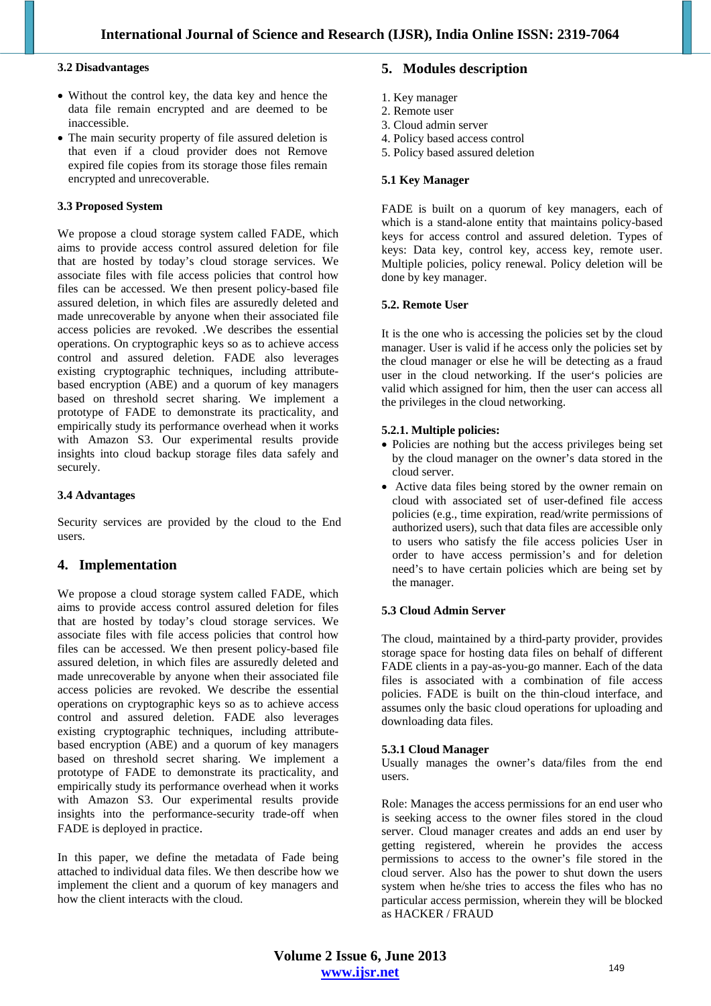#### **3.2 Disadvantages**

- Without the control key, the data key and hence the data file remain encrypted and are deemed to be inaccessible.
- The main security property of file assured deletion is that even if a cloud provider does not Remove expired file copies from its storage those files remain encrypted and unrecoverable.

## **3.3 Proposed System**

We propose a cloud storage system called FADE, which aims to provide access control assured deletion for file that are hosted by today's cloud storage services. We associate files with file access policies that control how files can be accessed. We then present policy-based file assured deletion, in which files are assuredly deleted and made unrecoverable by anyone when their associated file access policies are revoked. .We describes the essential operations. On cryptographic keys so as to achieve access control and assured deletion. FADE also leverages existing cryptographic techniques, including attributebased encryption (ABE) and a quorum of key managers based on threshold secret sharing. We implement a prototype of FADE to demonstrate its practicality, and empirically study its performance overhead when it works with Amazon S3. Our experimental results provide insights into cloud backup storage files data safely and securely.

## **3.4 Advantages**

Security services are provided by the cloud to the End users.

# **4. Implementation**

We propose a cloud storage system called FADE, which aims to provide access control assured deletion for files that are hosted by today's cloud storage services. We associate files with file access policies that control how files can be accessed. We then present policy-based file assured deletion, in which files are assuredly deleted and made unrecoverable by anyone when their associated file access policies are revoked. We describe the essential operations on cryptographic keys so as to achieve access control and assured deletion. FADE also leverages existing cryptographic techniques, including attributebased encryption (ABE) and a quorum of key managers based on threshold secret sharing. We implement a prototype of FADE to demonstrate its practicality, and empirically study its performance overhead when it works with Amazon S3. Our experimental results provide insights into the performance-security trade-off when FADE is deployed in practice.

In this paper, we define the metadata of Fade being attached to individual data files. We then describe how we implement the client and a quorum of key managers and how the client interacts with the cloud.

# **5. Modules description**

- 1. Key manager
- 2. Remote user
- 3. Cloud admin server
- 4. Policy based access control
- 5. Policy based assured deletion

#### **5.1 Key Manager**

FADE is built on a quorum of key managers, each of which is a stand-alone entity that maintains policy-based keys for access control and assured deletion. Types of keys: Data key, control key, access key, remote user. Multiple policies, policy renewal. Policy deletion will be done by key manager.

## **5.2. Remote User**

It is the one who is accessing the policies set by the cloud manager. User is valid if he access only the policies set by the cloud manager or else he will be detecting as a fraud user in the cloud networking. If the user's policies are valid which assigned for him, then the user can access all the privileges in the cloud networking.

## **5.2.1. Multiple policies:**

- Policies are nothing but the access privileges being set by the cloud manager on the owner's data stored in the cloud server.
- Active data files being stored by the owner remain on cloud with associated set of user-defined file access policies (e.g., time expiration, read/write permissions of authorized users), such that data files are accessible only to users who satisfy the file access policies User in order to have access permission's and for deletion need's to have certain policies which are being set by the manager.

## **5.3 Cloud Admin Server**

The cloud, maintained by a third-party provider, provides storage space for hosting data files on behalf of different FADE clients in a pay-as-you-go manner. Each of the data files is associated with a combination of file access policies. FADE is built on the thin-cloud interface, and assumes only the basic cloud operations for uploading and downloading data files.

## **5.3.1 Cloud Manager**

Usually manages the owner's data/files from the end users.

Role: Manages the access permissions for an end user who is seeking access to the owner files stored in the cloud server. Cloud manager creates and adds an end user by getting registered, wherein he provides the access permissions to access to the owner's file stored in the cloud server. Also has the power to shut down the users system when he/she tries to access the files who has no particular access permission, wherein they will be blocked as HACKER / FRAUD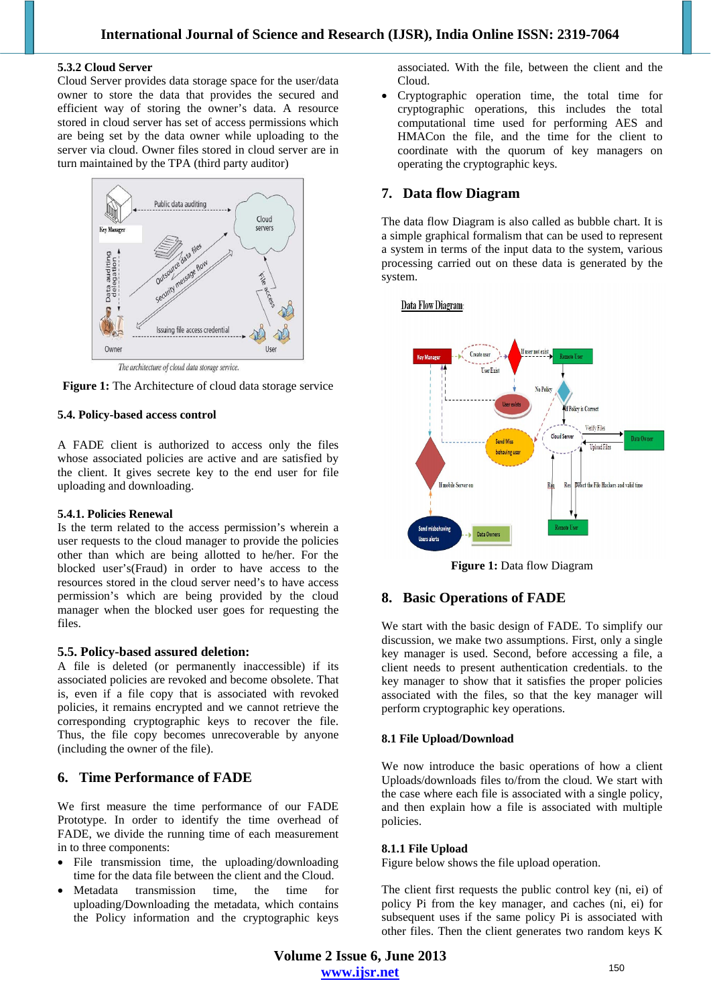#### **5.3.2 Cloud Server**

Cloud Server provides data storage space for the user/data owner to store the data that provides the secured and efficient way of storing the owner's data. A resource stored in cloud server has set of access permissions which are being set by the data owner while uploading to the server via cloud. Owner files stored in cloud server are in turn maintained by the TPA (third party auditor)



The architecture of cloud data storage service.



#### **5.4. Policy-based access control**

A FADE client is authorized to access only the files whose associated policies are active and are satisfied by the client. It gives secrete key to the end user for file uploading and downloading.

#### **5.4.1. Policies Renewal**

Is the term related to the access permission's wherein a user requests to the cloud manager to provide the policies other than which are being allotted to he/her. For the blocked user's(Fraud) in order to have access to the resources stored in the cloud server need's to have access permission's which are being provided by the cloud manager when the blocked user goes for requesting the files.

## **5.5. Policy-based assured deletion:**

A file is deleted (or permanently inaccessible) if its associated policies are revoked and become obsolete. That is, even if a file copy that is associated with revoked policies, it remains encrypted and we cannot retrieve the corresponding cryptographic keys to recover the file. Thus, the file copy becomes unrecoverable by anyone (including the owner of the file).

# **6. Time Performance of FADE**

We first measure the time performance of our FADE Prototype. In order to identify the time overhead of FADE, we divide the running time of each measurement in to three components:

- File transmission time, the uploading/downloading time for the data file between the client and the Cloud.
- Metadata transmission time, the time for uploading/Downloading the metadata, which contains the Policy information and the cryptographic keys

associated. With the file, between the client and the Cloud.

 Cryptographic operation time, the total time for cryptographic operations, this includes the total computational time used for performing AES and HMACon the file, and the time for the client to coordinate with the quorum of key managers on operating the cryptographic keys.

# **7. Data flow Diagram**

The data flow Diagram is also called as bubble chart. It is a simple graphical formalism that can be used to represent a system in terms of the input data to the system, various processing carried out on these data is generated by the system.

Data Flow Diagram:



**Figure 1:** Data flow Diagram

# **8. Basic Operations of FADE**

We start with the basic design of FADE. To simplify our discussion, we make two assumptions. First, only a single key manager is used. Second, before accessing a file, a client needs to present authentication credentials. to the key manager to show that it satisfies the proper policies associated with the files, so that the key manager will perform cryptographic key operations.

## **8.1 File Upload/Download**

We now introduce the basic operations of how a client Uploads/downloads files to/from the cloud. We start with the case where each file is associated with a single policy, and then explain how a file is associated with multiple policies.

## **8.1.1 File Upload**

Figure below shows the file upload operation.

The client first requests the public control key (ni, ei) of policy Pi from the key manager, and caches (ni, ei) for subsequent uses if the same policy Pi is associated with other files. Then the client generates two random keys K

**Volume 2 Issue 6, June 2013 www.ijsr.net**